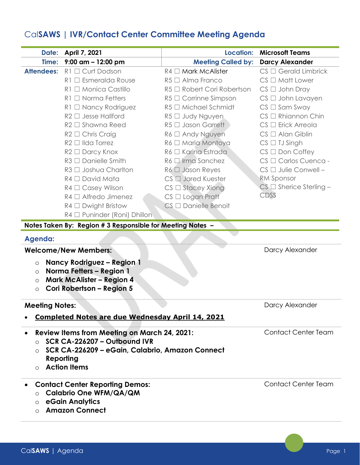## Cal**SAWS | IVR/Contact Center Committee Meeting Agenda**

|                       | Date: | April 7, 2021                                              | <b>Location:</b>              | <b>Microsoft Teams</b>          |  |
|-----------------------|-------|------------------------------------------------------------|-------------------------------|---------------------------------|--|
|                       | Time: | 9:00 am $-$ 12:00 pm                                       | <b>Meeting Called by:</b>     | <b>Darcy Alexander</b>          |  |
| <b>Attendees:</b>     |       | $R1 \square$ Curt Dodson                                   | $R4 \Box$ Mark McAlister      | $CS \square$ Gerald Limbrick    |  |
|                       |       | $R1 \square$ Esmeralda Rouse                               | $R5 \Box$ Alma Franco         | $CS \square$ Matt Lower         |  |
|                       |       | $R1 \square$ Monica Castillo                               | R5 □ Robert Cori Robertson    | $CS \Box$ John Dray             |  |
|                       |       | $R1 \square$ Norma Fetters                                 | $R5 \square$ Corrinne Simpson | $CS \Box$ John Lavayen          |  |
|                       |       | $R1 \square$ Nancy Rodriguez                               | $R5 \square$ Michael Schmidt  | $CS \square$ Sam Sway           |  |
|                       |       | $R2 \Box$ Jesse Hallford                                   | R5 □ Judy Nguyen              | $CS \square$ Rhiannon Chin      |  |
|                       |       | R <sub>2</sub> □ Shawna Reed                               | $R5 \Box$ Jason Garrett       | $CS \Box$ Erick Arreola         |  |
|                       |       | $R2 \square$ Chris Craig                                   | R6 □ Andy Nguyen              | $CS \square$ Alan Giblin        |  |
|                       |       | $R2 \Box$ Ilda Torrez                                      | R6 □ Maria Montoya            | $CS \square$ TJ Singh           |  |
|                       |       | R2 □ Darcy Knox                                            | R6 □ Karina Estrada           | $CS \Box$ Don Coffey            |  |
|                       |       | $R3 \Box$ Danielle Smith                                   | R6 <sup>Irma</sup> Sanchez    | CS <sup>O</sup> Carlos Cuenca - |  |
|                       |       | $R3 \square$ Joshua Charlton                               | $R6 \Box$ Jason Reyes         | $CS \Box$ Julie Conwell -       |  |
|                       |       | $R4 \Box$ David Mata                                       | $CS \Box$ Jared Kuester       | RM Sponsor                      |  |
|                       |       | $R4 \square$ Casey Wilson                                  | $CS \square$ Stacey Xiong     | $CS \square$ Sherice Sterling - |  |
|                       |       | $R4 \square$ Alfredo Jimenez                               | $CS \Box$ Logan Pratt         | CDSS                            |  |
|                       |       | $R4 \Box$ Dwight Bristow                                   | $CS \square$ Danielle Benoit  |                                 |  |
|                       |       | $R4 \Box$ Puninder (Roni) Dhillon                          |                               |                                 |  |
|                       |       | Notes Taken By: Region # 3 Responsible for Meeting Notes - |                               |                                 |  |
| <b>Agenda:</b>        |       |                                                            |                               |                                 |  |
|                       |       | <b>Welcome/New Members:</b>                                |                               | Darcy Alexander                 |  |
| $\circ$               |       | Nancy Rodriguez - Region 1                                 |                               |                                 |  |
| $\circ$               |       | Norma Fetters - Region 1                                   |                               |                                 |  |
| $\circ$               |       | <b>Mark McAlister - Region 4</b>                           |                               |                                 |  |
| $\circ$               |       | Cori Robertson - Region 5                                  |                               |                                 |  |
| <b>Meeting Notes:</b> |       |                                                            |                               | Darcy Alexander                 |  |
|                       |       | Completed Notes are due Wednesday April 14, 2021           |                               |                                 |  |
| ٠                     |       | <b>Review Items from Meeting on March 24, 2021:</b>        |                               | <b>Contact Center Team</b>      |  |
| $\Omega$              |       | SCR CA-226207 - Outbound IVR                               |                               |                                 |  |
| $\circ$               |       | SCR CA-226209 - eGain, Calabrio, Amazon Connect            |                               |                                 |  |
|                       |       | Reporting                                                  |                               |                                 |  |
| $\circ$               |       | <b>Action Items</b>                                        |                               |                                 |  |
|                       |       | <b>Contact Center Reporting Demos:</b>                     |                               | <b>Contact Center Team</b>      |  |
| $\circ$               |       | <b>Calabrio One WFM/QA/QM</b>                              |                               |                                 |  |
| $\circ$               |       | eGain Analytics                                            |                               |                                 |  |
| $\bigcirc$            |       | <b>Amazon Connect</b>                                      |                               |                                 |  |
|                       |       |                                                            |                               |                                 |  |